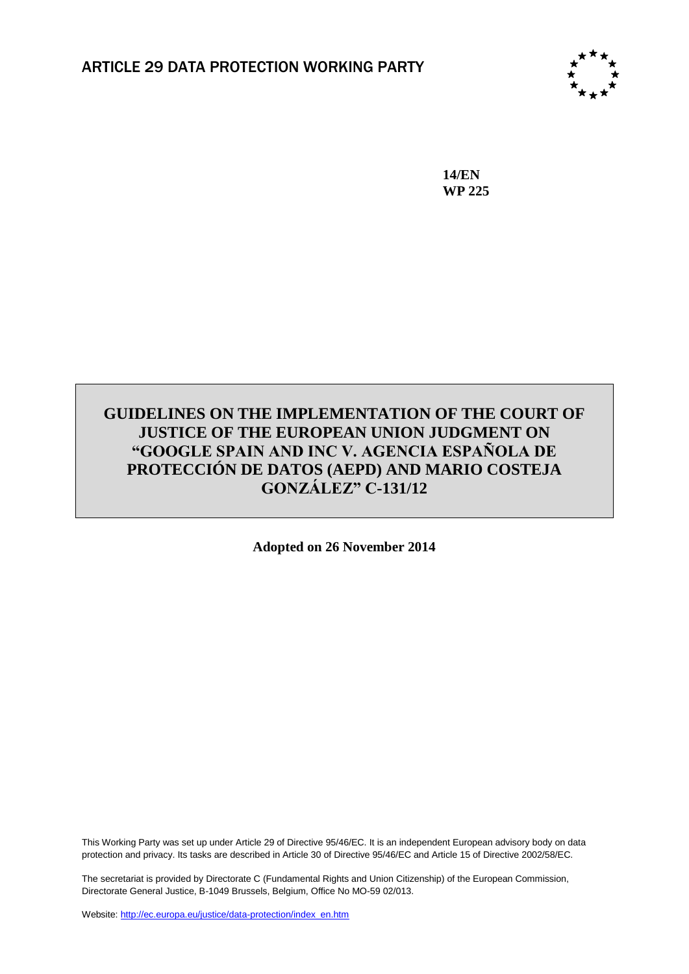

**14/EN WP 225**

# **GUIDELINES ON THE IMPLEMENTATION OF THE COURT OF JUSTICE OF THE EUROPEAN UNION JUDGMENT ON "GOOGLE SPAIN AND INC V. AGENCIA ESPAÑOLA DE PROTECCIÓN DE DATOS (AEPD) AND MARIO COSTEJA GONZÁLEZ" C-131/12**

#### **Adopted on 26 November 2014**

This Working Party was set up under Article 29 of Directive 95/46/EC. It is an independent European advisory body on data protection and privacy. Its tasks are described in Article 30 of Directive 95/46/EC and Article 15 of Directive 2002/58/EC.

The secretariat is provided by Directorate C (Fundamental Rights and Union Citizenship) of the European Commission, Directorate General Justice, B-1049 Brussels, Belgium, Office No MO-59 02/013.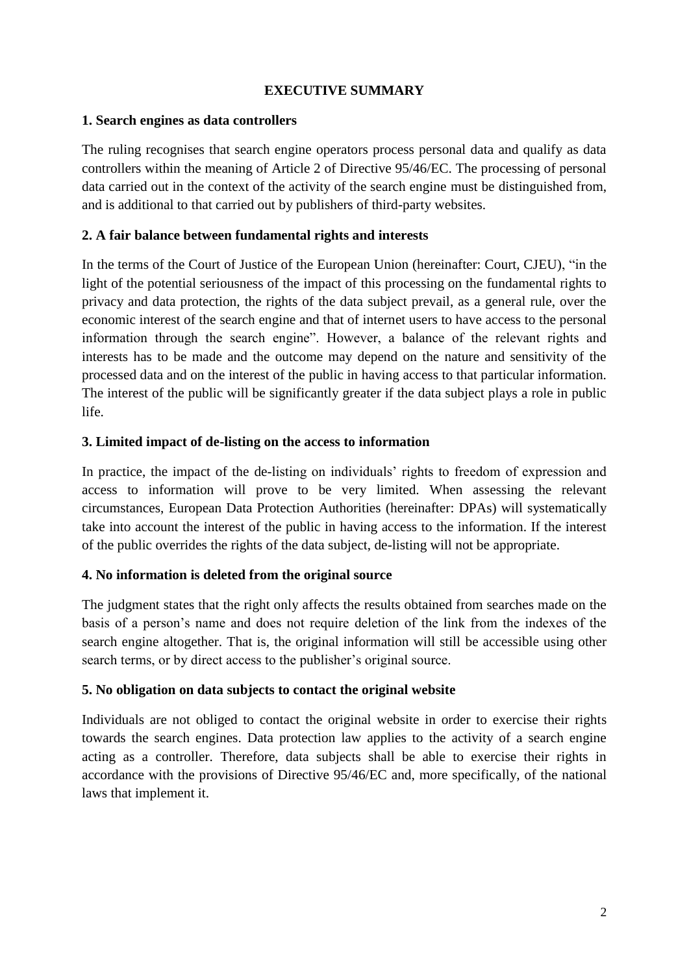## **EXECUTIVE SUMMARY**

#### **1. Search engines as data controllers**

The ruling recognises that search engine operators process personal data and qualify as data controllers within the meaning of Article 2 of Directive 95/46/EC. The processing of personal data carried out in the context of the activity of the search engine must be distinguished from, and is additional to that carried out by publishers of third-party websites.

## **2. A fair balance between fundamental rights and interests**

In the terms of the Court of Justice of the European Union (hereinafter: Court, CJEU), "in the light of the potential seriousness of the impact of this processing on the fundamental rights to privacy and data protection, the rights of the data subject prevail, as a general rule, over the economic interest of the search engine and that of internet users to have access to the personal information through the search engine". However, a balance of the relevant rights and interests has to be made and the outcome may depend on the nature and sensitivity of the processed data and on the interest of the public in having access to that particular information. The interest of the public will be significantly greater if the data subject plays a role in public life.

#### **3. Limited impact of de-listing on the access to information**

In practice, the impact of the de-listing on individuals' rights to freedom of expression and access to information will prove to be very limited. When assessing the relevant circumstances, European Data Protection Authorities (hereinafter: DPAs) will systematically take into account the interest of the public in having access to the information. If the interest of the public overrides the rights of the data subject, de-listing will not be appropriate.

#### **4. No information is deleted from the original source**

The judgment states that the right only affects the results obtained from searches made on the basis of a person's name and does not require deletion of the link from the indexes of the search engine altogether. That is, the original information will still be accessible using other search terms, or by direct access to the publisher's original source.

#### **5. No obligation on data subjects to contact the original website**

Individuals are not obliged to contact the original website in order to exercise their rights towards the search engines. Data protection law applies to the activity of a search engine acting as a controller. Therefore, data subjects shall be able to exercise their rights in accordance with the provisions of Directive 95/46/EC and, more specifically, of the national laws that implement it.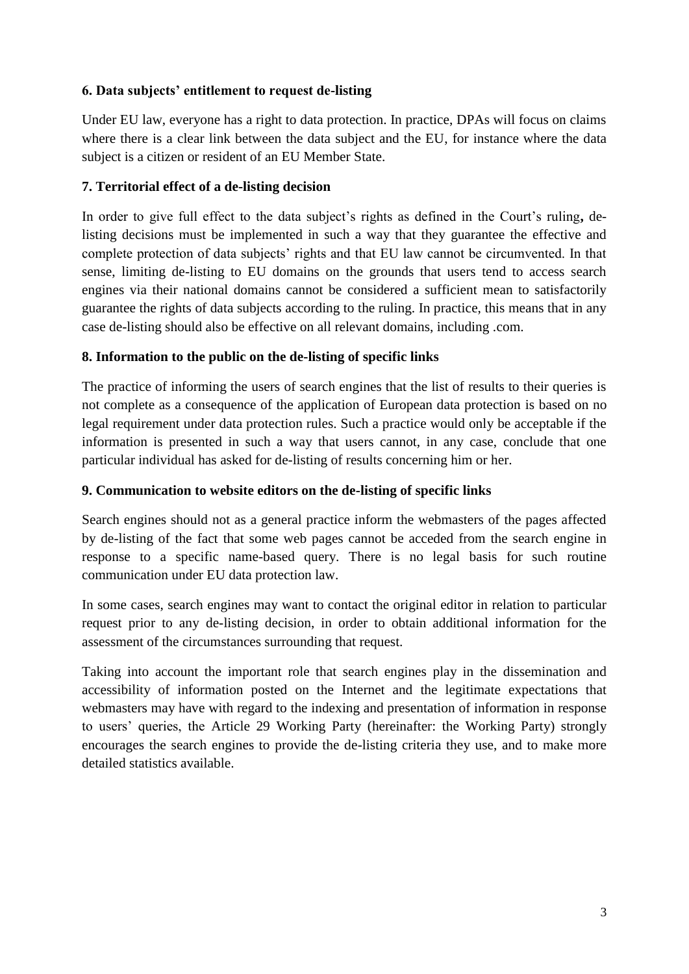## **6. Data subjects' entitlement to request de-listing**

Under EU law, everyone has a right to data protection. In practice, DPAs will focus on claims where there is a clear link between the data subject and the EU, for instance where the data subject is a citizen or resident of an EU Member State.

### **7. Territorial effect of a de-listing decision**

In order to give full effect to the data subject's rights as defined in the Court's ruling**,** delisting decisions must be implemented in such a way that they guarantee the effective and complete protection of data subjects' rights and that EU law cannot be circumvented. In that sense, limiting de-listing to EU domains on the grounds that users tend to access search engines via their national domains cannot be considered a sufficient mean to satisfactorily guarantee the rights of data subjects according to the ruling. In practice, this means that in any case de-listing should also be effective on all relevant domains, including .com.

#### **8. Information to the public on the de-listing of specific links**

The practice of informing the users of search engines that the list of results to their queries is not complete as a consequence of the application of European data protection is based on no legal requirement under data protection rules. Such a practice would only be acceptable if the information is presented in such a way that users cannot, in any case, conclude that one particular individual has asked for de-listing of results concerning him or her.

#### **9. Communication to website editors on the de-listing of specific links**

Search engines should not as a general practice inform the webmasters of the pages affected by de-listing of the fact that some web pages cannot be acceded from the search engine in response to a specific name-based query. There is no legal basis for such routine communication under EU data protection law.

In some cases, search engines may want to contact the original editor in relation to particular request prior to any de-listing decision, in order to obtain additional information for the assessment of the circumstances surrounding that request.

Taking into account the important role that search engines play in the dissemination and accessibility of information posted on the Internet and the legitimate expectations that webmasters may have with regard to the indexing and presentation of information in response to users' queries, the Article 29 Working Party (hereinafter: the Working Party) strongly encourages the search engines to provide the de-listing criteria they use, and to make more detailed statistics available.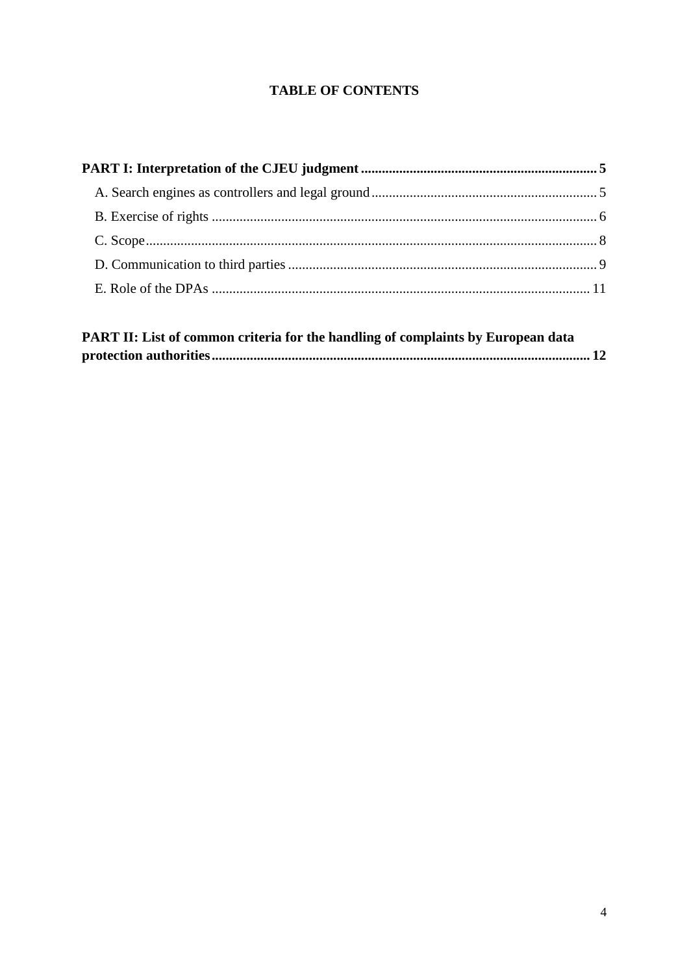# **TABLE OF CONTENTS**

<span id="page-3-0"></span>

| PART II: List of common criteria for the handling of complaints by European data |  |
|----------------------------------------------------------------------------------|--|
|                                                                                  |  |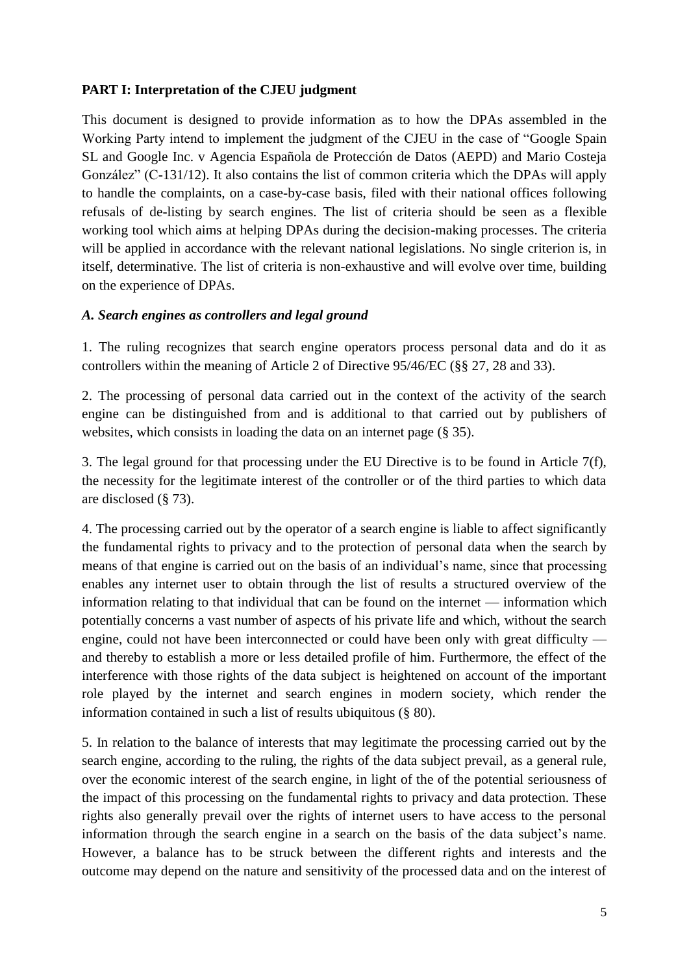### **PART I: Interpretation of the CJEU judgment**

This document is designed to provide information as to how the DPAs assembled in the Working Party intend to implement the judgment of the CJEU in the case of "Google Spain SL and Google Inc. v Agencia Española de Protección de Datos (AEPD) and Mario Costeja González" (C-131/12). It also contains the list of common criteria which the DPAs will apply to handle the complaints, on a case-by-case basis, filed with their national offices following refusals of de-listing by search engines. The list of criteria should be seen as a flexible working tool which aims at helping DPAs during the decision-making processes. The criteria will be applied in accordance with the relevant national legislations. No single criterion is, in itself, determinative. The list of criteria is non-exhaustive and will evolve over time, building on the experience of DPAs.

#### <span id="page-4-0"></span>*A. Search engines as controllers and legal ground*

1. The ruling recognizes that search engine operators process personal data and do it as controllers within the meaning of Article 2 of Directive 95/46/EC (§§ 27, 28 and 33).

2. The processing of personal data carried out in the context of the activity of the search engine can be distinguished from and is additional to that carried out by publishers of websites, which consists in loading the data on an internet page (§ 35).

3. The legal ground for that processing under the EU Directive is to be found in Article 7(f), the necessity for the legitimate interest of the controller or of the third parties to which data are disclosed (§ 73).

4. The processing carried out by the operator of a search engine is liable to affect significantly the fundamental rights to privacy and to the protection of personal data when the search by means of that engine is carried out on the basis of an individual's name, since that processing enables any internet user to obtain through the list of results a structured overview of the information relating to that individual that can be found on the internet — information which potentially concerns a vast number of aspects of his private life and which, without the search engine, could not have been interconnected or could have been only with great difficulty and thereby to establish a more or less detailed profile of him. Furthermore, the effect of the interference with those rights of the data subject is heightened on account of the important role played by the internet and search engines in modern society, which render the information contained in such a list of results ubiquitous (§ 80).

5. In relation to the balance of interests that may legitimate the processing carried out by the search engine, according to the ruling, the rights of the data subject prevail, as a general rule, over the economic interest of the search engine, in light of the of the potential seriousness of the impact of this processing on the fundamental rights to privacy and data protection. These rights also generally prevail over the rights of internet users to have access to the personal information through the search engine in a search on the basis of the data subject's name. However, a balance has to be struck between the different rights and interests and the outcome may depend on the nature and sensitivity of the processed data and on the interest of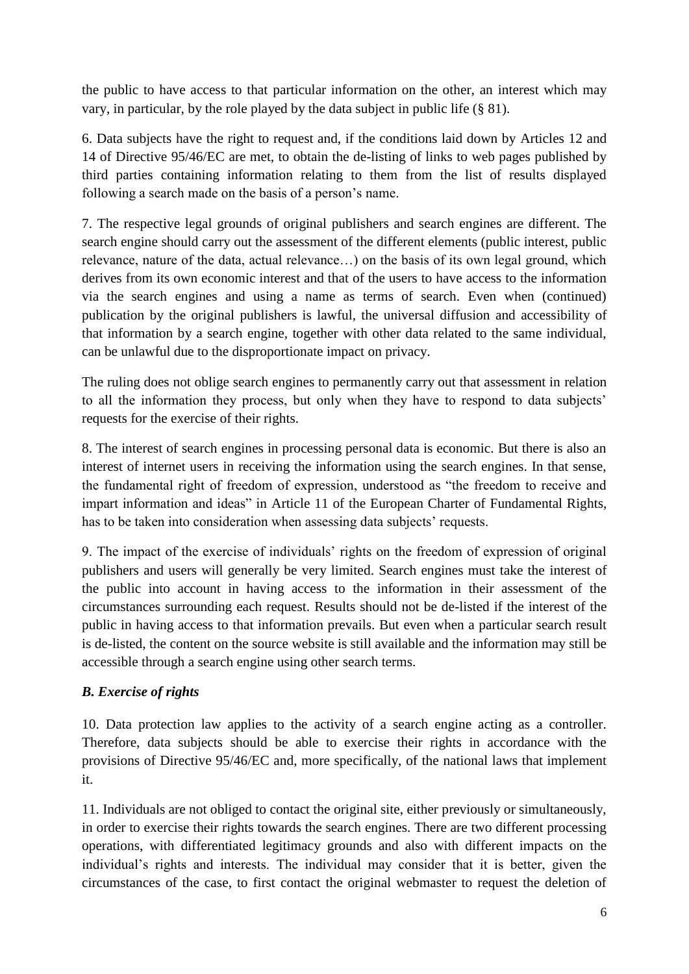the public to have access to that particular information on the other, an interest which may vary, in particular, by the role played by the data subject in public life (§ 81).

6. Data subjects have the right to request and, if the conditions laid down by Articles 12 and 14 of Directive 95/46/EC are met, to obtain the de-listing of links to web pages published by third parties containing information relating to them from the list of results displayed following a search made on the basis of a person's name.

7. The respective legal grounds of original publishers and search engines are different. The search engine should carry out the assessment of the different elements (public interest, public relevance, nature of the data, actual relevance…) on the basis of its own legal ground, which derives from its own economic interest and that of the users to have access to the information via the search engines and using a name as terms of search. Even when (continued) publication by the original publishers is lawful, the universal diffusion and accessibility of that information by a search engine, together with other data related to the same individual, can be unlawful due to the disproportionate impact on privacy.

The ruling does not oblige search engines to permanently carry out that assessment in relation to all the information they process, but only when they have to respond to data subjects' requests for the exercise of their rights.

8. The interest of search engines in processing personal data is economic. But there is also an interest of internet users in receiving the information using the search engines. In that sense, the fundamental right of freedom of expression, understood as "the freedom to receive and impart information and ideas" in Article 11 of the European Charter of Fundamental Rights, has to be taken into consideration when assessing data subjects' requests.

9. The impact of the exercise of individuals' rights on the freedom of expression of original publishers and users will generally be very limited. Search engines must take the interest of the public into account in having access to the information in their assessment of the circumstances surrounding each request. Results should not be de-listed if the interest of the public in having access to that information prevails. But even when a particular search result is de-listed, the content on the source website is still available and the information may still be accessible through a search engine using other search terms.

# <span id="page-5-0"></span>*B. Exercise of rights*

10. Data protection law applies to the activity of a search engine acting as a controller. Therefore, data subjects should be able to exercise their rights in accordance with the provisions of Directive 95/46/EC and, more specifically, of the national laws that implement it.

11. Individuals are not obliged to contact the original site, either previously or simultaneously, in order to exercise their rights towards the search engines. There are two different processing operations, with differentiated legitimacy grounds and also with different impacts on the individual's rights and interests. The individual may consider that it is better, given the circumstances of the case, to first contact the original webmaster to request the deletion of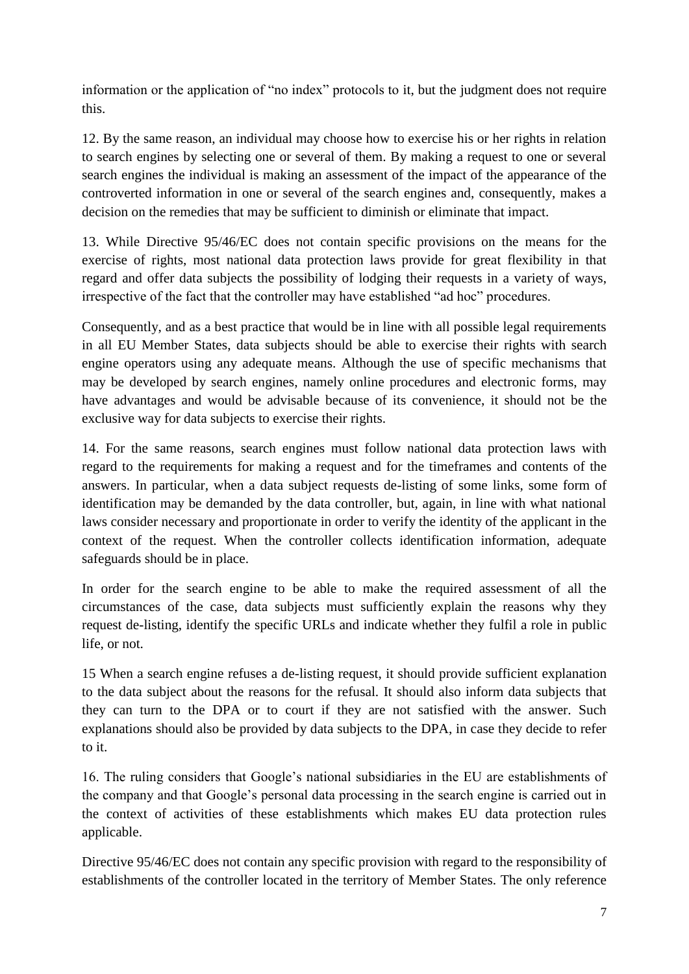information or the application of "no index" protocols to it, but the judgment does not require this.

12. By the same reason, an individual may choose how to exercise his or her rights in relation to search engines by selecting one or several of them. By making a request to one or several search engines the individual is making an assessment of the impact of the appearance of the controverted information in one or several of the search engines and, consequently, makes a decision on the remedies that may be sufficient to diminish or eliminate that impact.

13. While Directive 95/46/EC does not contain specific provisions on the means for the exercise of rights, most national data protection laws provide for great flexibility in that regard and offer data subjects the possibility of lodging their requests in a variety of ways, irrespective of the fact that the controller may have established "ad hoc" procedures.

Consequently, and as a best practice that would be in line with all possible legal requirements in all EU Member States, data subjects should be able to exercise their rights with search engine operators using any adequate means. Although the use of specific mechanisms that may be developed by search engines, namely online procedures and electronic forms, may have advantages and would be advisable because of its convenience, it should not be the exclusive way for data subjects to exercise their rights.

14. For the same reasons, search engines must follow national data protection laws with regard to the requirements for making a request and for the timeframes and contents of the answers. In particular, when a data subject requests de-listing of some links, some form of identification may be demanded by the data controller, but, again, in line with what national laws consider necessary and proportionate in order to verify the identity of the applicant in the context of the request. When the controller collects identification information, adequate safeguards should be in place.

In order for the search engine to be able to make the required assessment of all the circumstances of the case, data subjects must sufficiently explain the reasons why they request de-listing, identify the specific URLs and indicate whether they fulfil a role in public life, or not.

15 When a search engine refuses a de-listing request, it should provide sufficient explanation to the data subject about the reasons for the refusal. It should also inform data subjects that they can turn to the DPA or to court if they are not satisfied with the answer. Such explanations should also be provided by data subjects to the DPA, in case they decide to refer to it.

16. The ruling considers that Google's national subsidiaries in the EU are establishments of the company and that Google's personal data processing in the search engine is carried out in the context of activities of these establishments which makes EU data protection rules applicable.

Directive 95/46/EC does not contain any specific provision with regard to the responsibility of establishments of the controller located in the territory of Member States. The only reference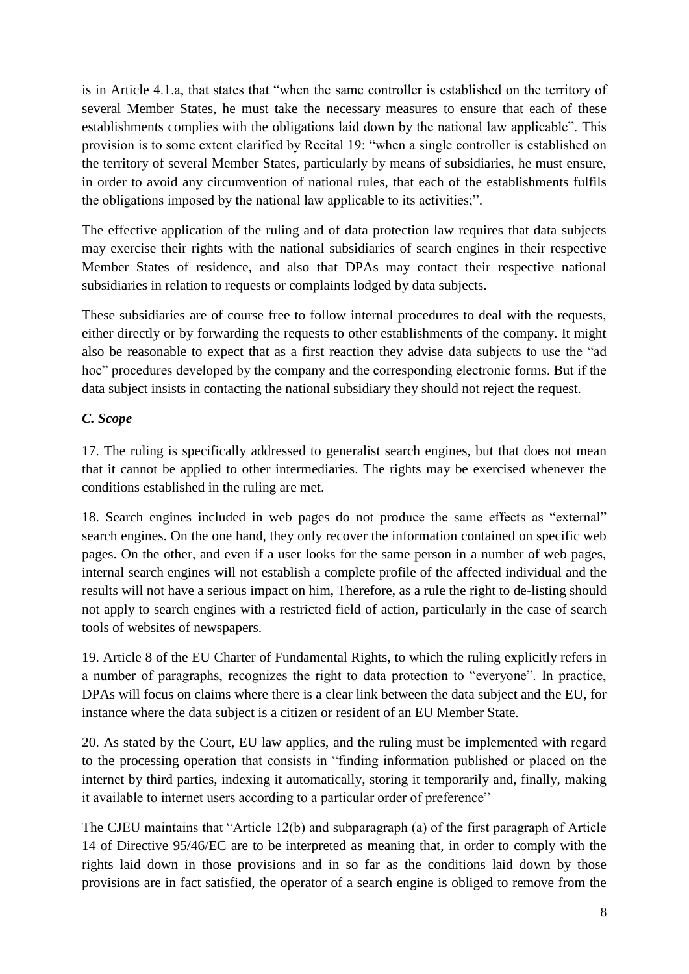is in Article 4.1.a, that states that "when the same controller is established on the territory of several Member States, he must take the necessary measures to ensure that each of these establishments complies with the obligations laid down by the national law applicable". This provision is to some extent clarified by Recital 19: "when a single controller is established on the territory of several Member States, particularly by means of subsidiaries, he must ensure, in order to avoid any circumvention of national rules, that each of the establishments fulfils the obligations imposed by the national law applicable to its activities;".

The effective application of the ruling and of data protection law requires that data subjects may exercise their rights with the national subsidiaries of search engines in their respective Member States of residence, and also that DPAs may contact their respective national subsidiaries in relation to requests or complaints lodged by data subjects.

These subsidiaries are of course free to follow internal procedures to deal with the requests, either directly or by forwarding the requests to other establishments of the company. It might also be reasonable to expect that as a first reaction they advise data subjects to use the "ad hoc" procedures developed by the company and the corresponding electronic forms. But if the data subject insists in contacting the national subsidiary they should not reject the request.

# <span id="page-7-0"></span>*C. Scope*

17. The ruling is specifically addressed to generalist search engines, but that does not mean that it cannot be applied to other intermediaries. The rights may be exercised whenever the conditions established in the ruling are met.

18. Search engines included in web pages do not produce the same effects as "external" search engines. On the one hand, they only recover the information contained on specific web pages. On the other, and even if a user looks for the same person in a number of web pages, internal search engines will not establish a complete profile of the affected individual and the results will not have a serious impact on him, Therefore, as a rule the right to de-listing should not apply to search engines with a restricted field of action, particularly in the case of search tools of websites of newspapers.

19. Article 8 of the EU Charter of Fundamental Rights, to which the ruling explicitly refers in a number of paragraphs, recognizes the right to data protection to "everyone". In practice, DPAs will focus on claims where there is a clear link between the data subject and the EU, for instance where the data subject is a citizen or resident of an EU Member State.

20. As stated by the Court, EU law applies, and the ruling must be implemented with regard to the processing operation that consists in "finding information published or placed on the internet by third parties, indexing it automatically, storing it temporarily and, finally, making it available to internet users according to a particular order of preference"

The CJEU maintains that "Article 12(b) and subparagraph (a) of the first paragraph of Article 14 of Directive 95/46/EC are to be interpreted as meaning that, in order to comply with the rights laid down in those provisions and in so far as the conditions laid down by those provisions are in fact satisfied, the operator of a search engine is obliged to remove from the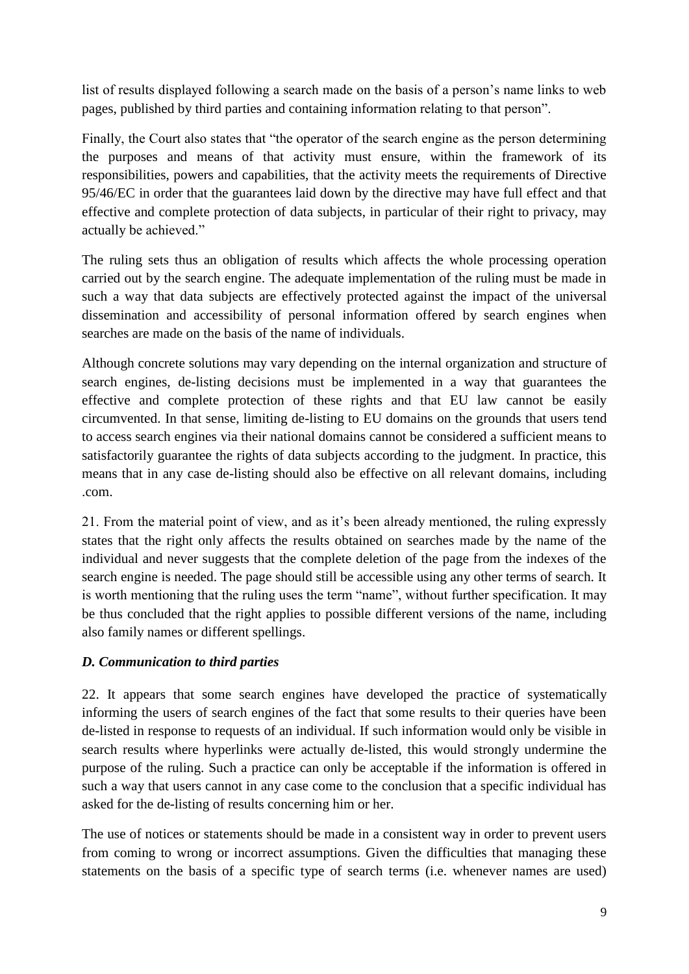list of results displayed following a search made on the basis of a person's name links to web pages, published by third parties and containing information relating to that person".

Finally, the Court also states that "the operator of the search engine as the person determining the purposes and means of that activity must ensure, within the framework of its responsibilities, powers and capabilities, that the activity meets the requirements of Directive 95/46/EC in order that the guarantees laid down by the directive may have full effect and that effective and complete protection of data subjects, in particular of their right to privacy, may actually be achieved."

The ruling sets thus an obligation of results which affects the whole processing operation carried out by the search engine. The adequate implementation of the ruling must be made in such a way that data subjects are effectively protected against the impact of the universal dissemination and accessibility of personal information offered by search engines when searches are made on the basis of the name of individuals.

Although concrete solutions may vary depending on the internal organization and structure of search engines, de-listing decisions must be implemented in a way that guarantees the effective and complete protection of these rights and that EU law cannot be easily circumvented. In that sense, limiting de-listing to EU domains on the grounds that users tend to access search engines via their national domains cannot be considered a sufficient means to satisfactorily guarantee the rights of data subjects according to the judgment. In practice, this means that in any case de-listing should also be effective on all relevant domains, including .com.

21. From the material point of view, and as it's been already mentioned, the ruling expressly states that the right only affects the results obtained on searches made by the name of the individual and never suggests that the complete deletion of the page from the indexes of the search engine is needed. The page should still be accessible using any other terms of search. It is worth mentioning that the ruling uses the term "name", without further specification. It may be thus concluded that the right applies to possible different versions of the name, including also family names or different spellings.

# <span id="page-8-0"></span>*D. Communication to third parties*

22. It appears that some search engines have developed the practice of systematically informing the users of search engines of the fact that some results to their queries have been de-listed in response to requests of an individual. If such information would only be visible in search results where hyperlinks were actually de-listed, this would strongly undermine the purpose of the ruling. Such a practice can only be acceptable if the information is offered in such a way that users cannot in any case come to the conclusion that a specific individual has asked for the de-listing of results concerning him or her.

The use of notices or statements should be made in a consistent way in order to prevent users from coming to wrong or incorrect assumptions. Given the difficulties that managing these statements on the basis of a specific type of search terms (i.e. whenever names are used)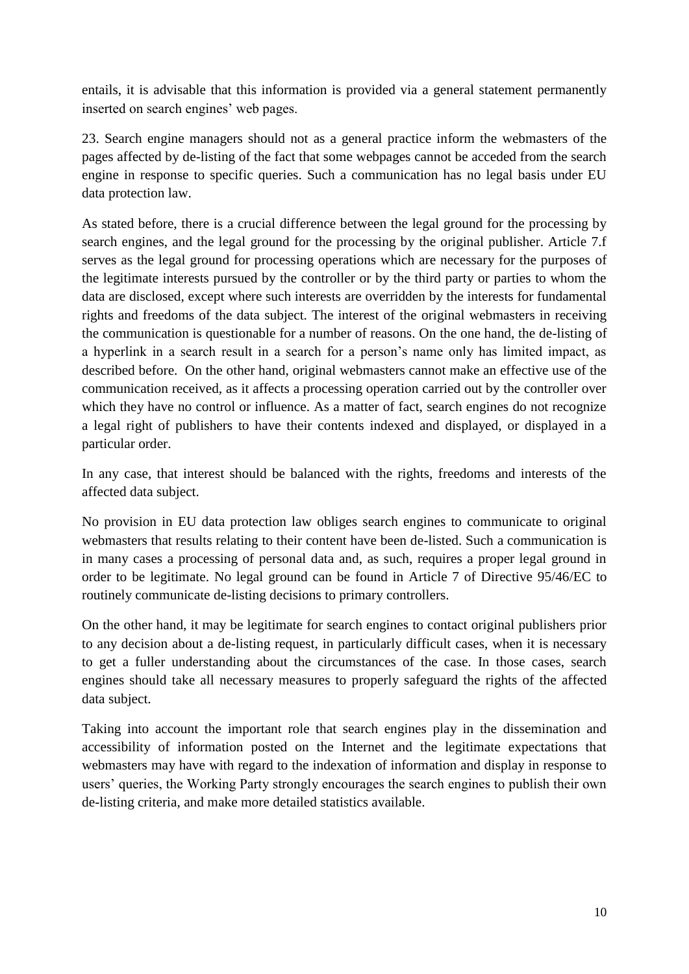entails, it is advisable that this information is provided via a general statement permanently inserted on search engines' web pages.

23. Search engine managers should not as a general practice inform the webmasters of the pages affected by de-listing of the fact that some webpages cannot be acceded from the search engine in response to specific queries. Such a communication has no legal basis under EU data protection law.

As stated before, there is a crucial difference between the legal ground for the processing by search engines, and the legal ground for the processing by the original publisher. Article 7.f serves as the legal ground for processing operations which are necessary for the purposes of the legitimate interests pursued by the controller or by the third party or parties to whom the data are disclosed, except where such interests are overridden by the interests for fundamental rights and freedoms of the data subject. The interest of the original webmasters in receiving the communication is questionable for a number of reasons. On the one hand, the de-listing of a hyperlink in a search result in a search for a person's name only has limited impact, as described before. On the other hand, original webmasters cannot make an effective use of the communication received, as it affects a processing operation carried out by the controller over which they have no control or influence. As a matter of fact, search engines do not recognize a legal right of publishers to have their contents indexed and displayed, or displayed in a particular order.

In any case, that interest should be balanced with the rights, freedoms and interests of the affected data subject.

No provision in EU data protection law obliges search engines to communicate to original webmasters that results relating to their content have been de-listed. Such a communication is in many cases a processing of personal data and, as such, requires a proper legal ground in order to be legitimate. No legal ground can be found in Article 7 of Directive 95/46/EC to routinely communicate de-listing decisions to primary controllers.

On the other hand, it may be legitimate for search engines to contact original publishers prior to any decision about a de-listing request, in particularly difficult cases, when it is necessary to get a fuller understanding about the circumstances of the case. In those cases, search engines should take all necessary measures to properly safeguard the rights of the affected data subject.

<span id="page-9-0"></span>Taking into account the important role that search engines play in the dissemination and accessibility of information posted on the Internet and the legitimate expectations that webmasters may have with regard to the indexation of information and display in response to users' queries, the Working Party strongly encourages the search engines to publish their own de-listing criteria, and make more detailed statistics available.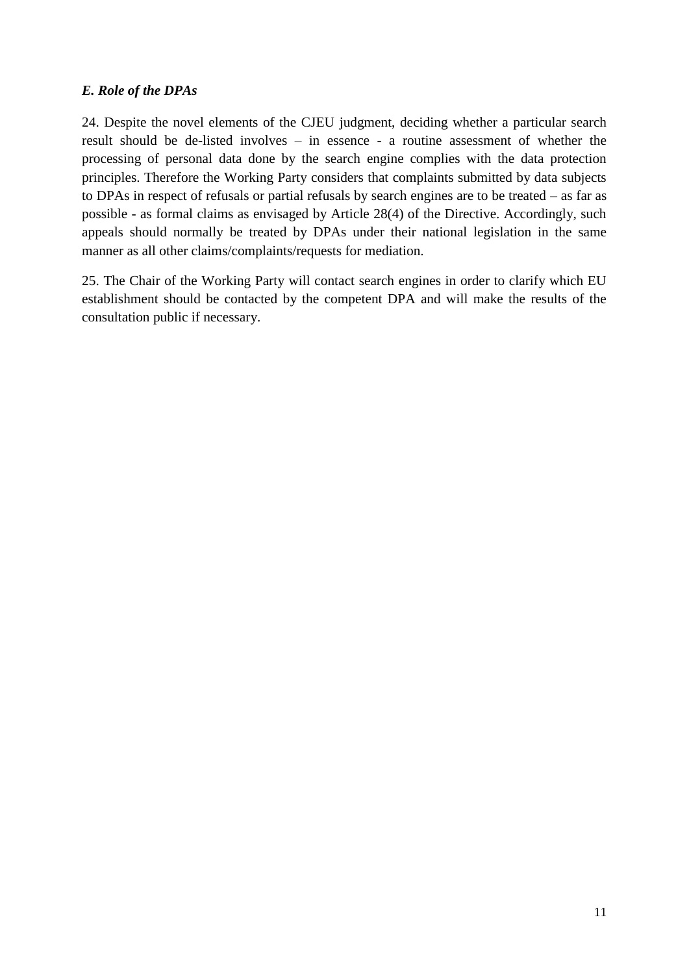### *E. Role of the DPAs*

24. Despite the novel elements of the CJEU judgment, deciding whether a particular search result should be de-listed involves – in essence - a routine assessment of whether the processing of personal data done by the search engine complies with the data protection principles. Therefore the Working Party considers that complaints submitted by data subjects to DPAs in respect of refusals or partial refusals by search engines are to be treated – as far as possible - as formal claims as envisaged by Article 28(4) of the Directive. Accordingly, such appeals should normally be treated by DPAs under their national legislation in the same manner as all other claims/complaints/requests for mediation.

<span id="page-10-0"></span>25. The Chair of the Working Party will contact search engines in order to clarify which EU establishment should be contacted by the competent DPA and will make the results of the consultation public if necessary.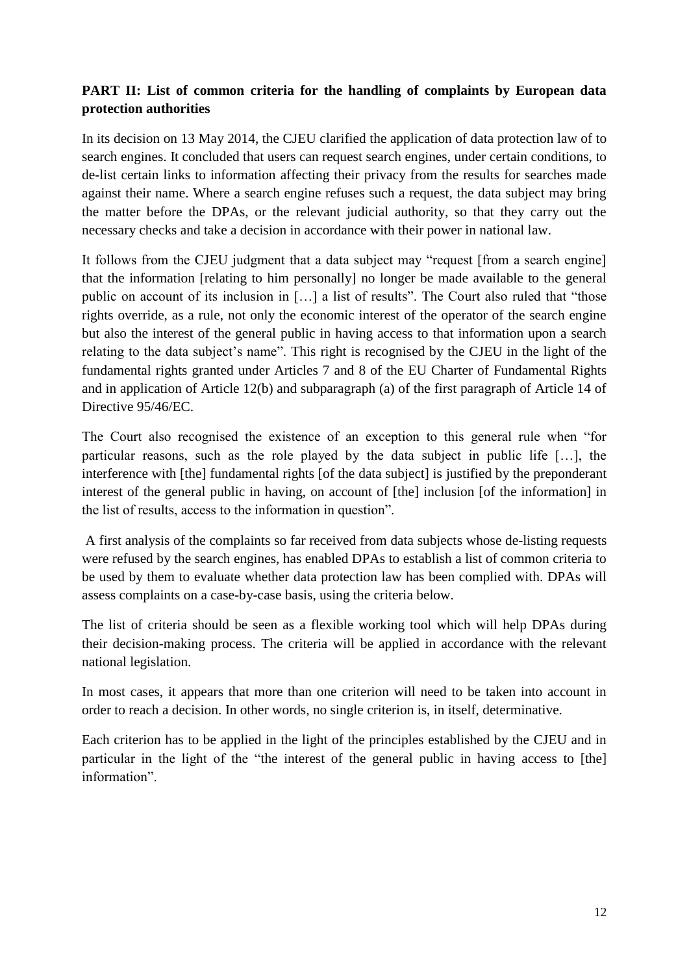# **PART II: List of common criteria for the handling of complaints by European data protection authorities**

In its decision on 13 May 2014, the CJEU clarified the application of data protection law of to search engines. It concluded that users can request search engines, under certain conditions, to de-list certain links to information affecting their privacy from the results for searches made against their name. Where a search engine refuses such a request, the data subject may bring the matter before the DPAs, or the relevant judicial authority, so that they carry out the necessary checks and take a decision in accordance with their power in national law.

It follows from the CJEU judgment that a data subject may "request [from a search engine] that the information [relating to him personally] no longer be made available to the general public on account of its inclusion in […] a list of results". The Court also ruled that "those rights override, as a rule, not only the economic interest of the operator of the search engine but also the interest of the general public in having access to that information upon a search relating to the data subject's name". This right is recognised by the CJEU in the light of the fundamental rights granted under Articles 7 and 8 of the EU Charter of Fundamental Rights and in application of Article 12(b) and subparagraph (a) of the first paragraph of Article 14 of Directive 95/46/EC.

The Court also recognised the existence of an exception to this general rule when "for particular reasons, such as the role played by the data subject in public life […], the interference with [the] fundamental rights [of the data subject] is justified by the preponderant interest of the general public in having, on account of [the] inclusion [of the information] in the list of results, access to the information in question".

A first analysis of the complaints so far received from data subjects whose de-listing requests were refused by the search engines, has enabled DPAs to establish a list of common criteria to be used by them to evaluate whether data protection law has been complied with. DPAs will assess complaints on a case-by-case basis, using the criteria below.

The list of criteria should be seen as a flexible working tool which will help DPAs during their decision-making process. The criteria will be applied in accordance with the relevant national legislation.

In most cases, it appears that more than one criterion will need to be taken into account in order to reach a decision. In other words, no single criterion is, in itself, determinative.

Each criterion has to be applied in the light of the principles established by the CJEU and in particular in the light of the "the interest of the general public in having access to [the] information".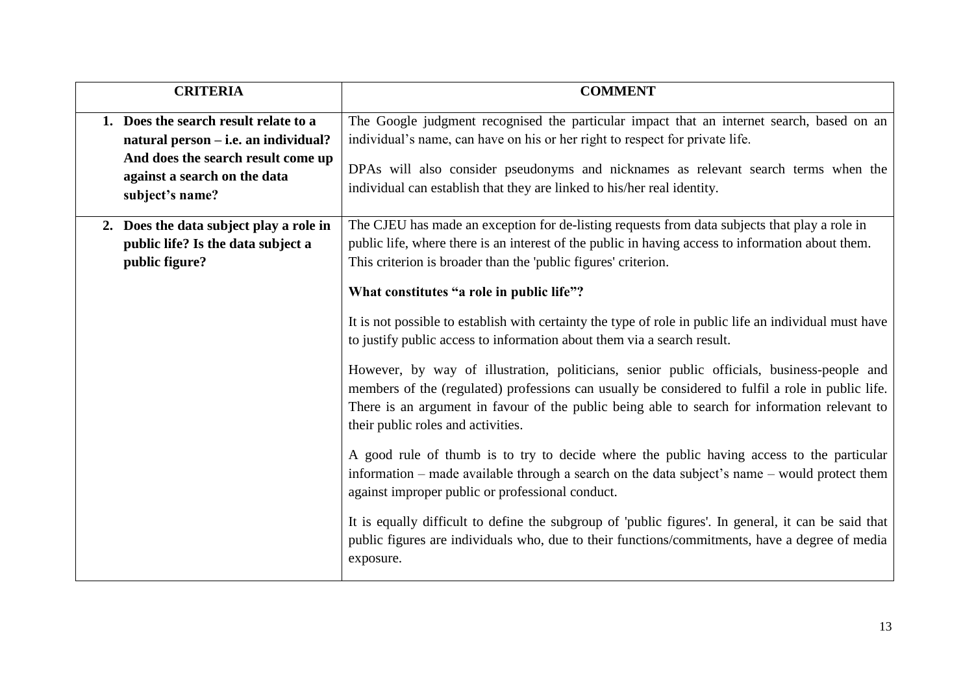| <b>CRITERIA</b>                                                                                                                                                        | <b>COMMENT</b>                                                                                                                                                                                                                                                                                                                                                                                                                                                                                                                                                                                                                                                                                                                                                                                                                                                                                                                                                                                                                                                                                                                                                                                                                                                                                                           |
|------------------------------------------------------------------------------------------------------------------------------------------------------------------------|--------------------------------------------------------------------------------------------------------------------------------------------------------------------------------------------------------------------------------------------------------------------------------------------------------------------------------------------------------------------------------------------------------------------------------------------------------------------------------------------------------------------------------------------------------------------------------------------------------------------------------------------------------------------------------------------------------------------------------------------------------------------------------------------------------------------------------------------------------------------------------------------------------------------------------------------------------------------------------------------------------------------------------------------------------------------------------------------------------------------------------------------------------------------------------------------------------------------------------------------------------------------------------------------------------------------------|
| 1. Does the search result relate to a<br>natural person - i.e. an individual?<br>And does the search result come up<br>against a search on the data<br>subject's name? | The Google judgment recognised the particular impact that an internet search, based on an<br>individual's name, can have on his or her right to respect for private life.<br>DPAs will also consider pseudonyms and nicknames as relevant search terms when the<br>individual can establish that they are linked to his/her real identity.                                                                                                                                                                                                                                                                                                                                                                                                                                                                                                                                                                                                                                                                                                                                                                                                                                                                                                                                                                               |
| 2. Does the data subject play a role in<br>public life? Is the data subject a<br>public figure?                                                                        | The CJEU has made an exception for de-listing requests from data subjects that play a role in<br>public life, where there is an interest of the public in having access to information about them.<br>This criterion is broader than the 'public figures' criterion.<br>What constitutes "a role in public life"?<br>It is not possible to establish with certainty the type of role in public life an individual must have<br>to justify public access to information about them via a search result.<br>However, by way of illustration, politicians, senior public officials, business-people and<br>members of the (regulated) professions can usually be considered to fulfil a role in public life.<br>There is an argument in favour of the public being able to search for information relevant to<br>their public roles and activities.<br>A good rule of thumb is to try to decide where the public having access to the particular<br>information – made available through a search on the data subject's name – would protect them<br>against improper public or professional conduct.<br>It is equally difficult to define the subgroup of 'public figures'. In general, it can be said that<br>public figures are individuals who, due to their functions/commitments, have a degree of media<br>exposure. |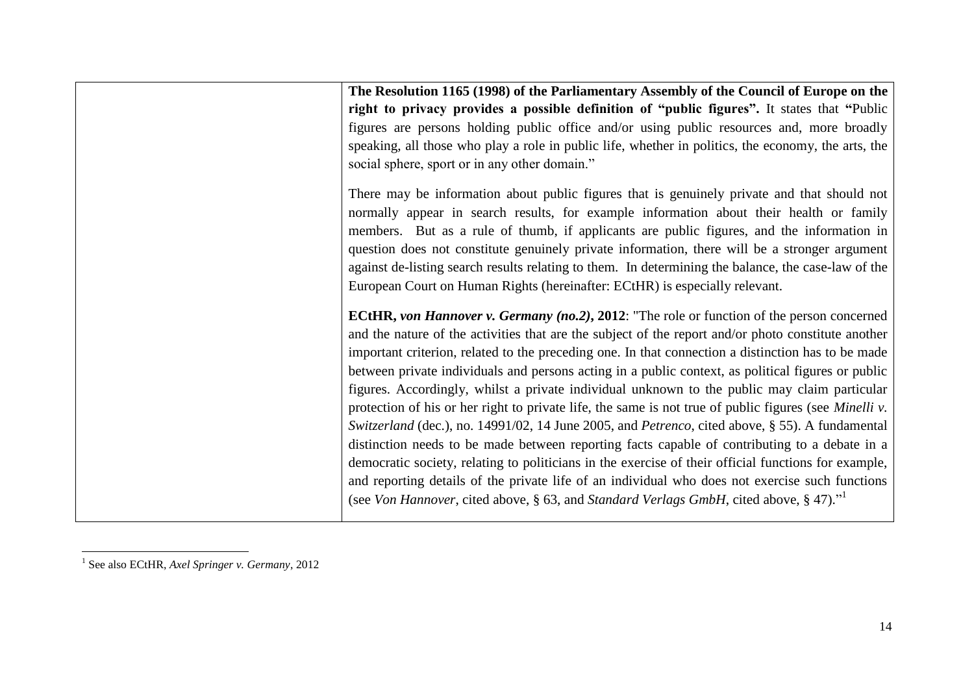**The Resolution 1165 (1998) of the Parliamentary Assembly of the Council of Europe on the right to privacy provides a possible definition of "public figures".** It states that **"**Public figures are persons holding public office and/or using public resources and, more broadly speaking, all those who play a role in public life, whether in politics, the economy, the arts, the social sphere, sport or in any other domain." There may be information about public figures that is genuinely private and that should not normally appear in search results, for example information about their health or family members. But as a rule of thumb, if applicants are public figures, and the information in question does not constitute genuinely private information, there will be a stronger argument against de-listing search results relating to them. In determining the balance, the case-law of the European Court on Human Rights (hereinafter: ECtHR) is especially relevant. **ECtHR,** *von Hannover v. Germany (no.2)***, 2012**: "The role or function of the person concerned and the nature of the activities that are the subject of the report and/or photo constitute another important criterion, related to the preceding one. In that connection a distinction has to be made between private individuals and persons acting in a public context, as political figures or public figures. Accordingly, whilst a private individual unknown to the public may claim particular protection of his or her right to private life, the same is not true of public figures (see *Minelli v. Switzerland* (dec.), no. 14991/02, 14 June 2005, and *Petrenco*, cited above, § 55). A fundamental distinction needs to be made between reporting facts capable of contributing to a debate in a democratic society, relating to politicians in the exercise of their official functions for example, and reporting details of the private life of an individual who does not exercise such functions (see *Von Hannover*, cited above, § 63, and *Standard Verlags GmbH*, cited above, § 47)." 1

<sup>1</sup> 1 See also ECtHR, *Axel Springer v. Germany*, 2012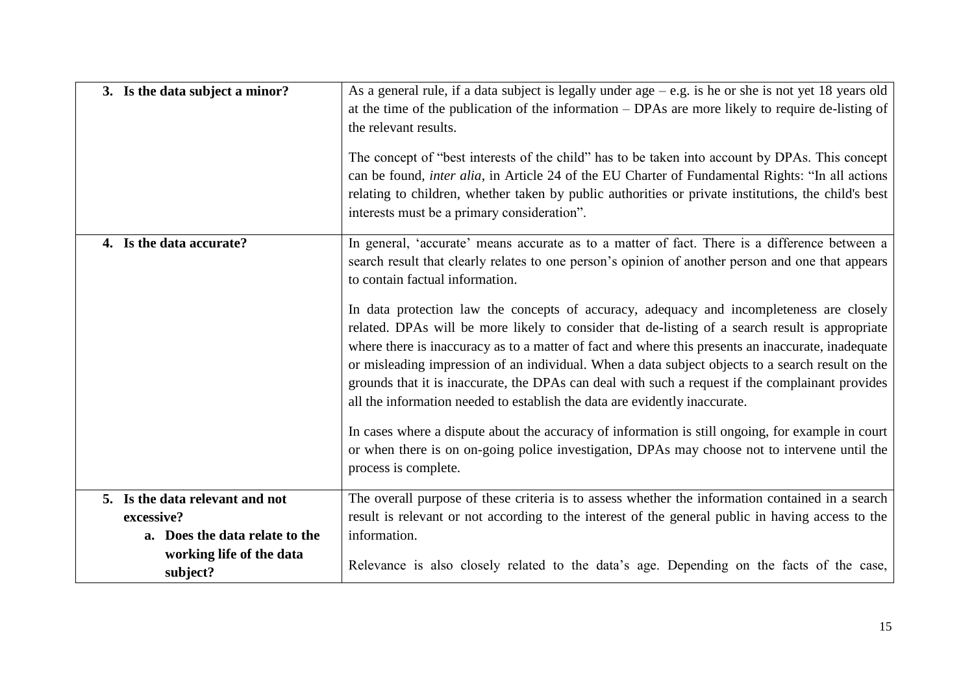| 3. Is the data subject a minor?              | As a general rule, if a data subject is legally under age $-$ e.g. is he or she is not yet 18 years old<br>at the time of the publication of the information – DPAs are more likely to require de-listing of<br>the relevant results.<br>The concept of "best interests of the child" has to be taken into account by DPAs. This concept<br>can be found, <i>inter alia</i> , in Article 24 of the EU Charter of Fundamental Rights: "In all actions<br>relating to children, whether taken by public authorities or private institutions, the child's best<br>interests must be a primary consideration".                                                                                                                                                                                                                                                                                                                                                                                                                                                     |
|----------------------------------------------|----------------------------------------------------------------------------------------------------------------------------------------------------------------------------------------------------------------------------------------------------------------------------------------------------------------------------------------------------------------------------------------------------------------------------------------------------------------------------------------------------------------------------------------------------------------------------------------------------------------------------------------------------------------------------------------------------------------------------------------------------------------------------------------------------------------------------------------------------------------------------------------------------------------------------------------------------------------------------------------------------------------------------------------------------------------|
| 4. Is the data accurate?                     | In general, 'accurate' means accurate as to a matter of fact. There is a difference between a<br>search result that clearly relates to one person's opinion of another person and one that appears<br>to contain factual information.<br>In data protection law the concepts of accuracy, adequacy and incompleteness are closely<br>related. DPAs will be more likely to consider that de-listing of a search result is appropriate<br>where there is inaccuracy as to a matter of fact and where this presents an inaccurate, inadequate<br>or misleading impression of an individual. When a data subject objects to a search result on the<br>grounds that it is inaccurate, the DPAs can deal with such a request if the complainant provides<br>all the information needed to establish the data are evidently inaccurate.<br>In cases where a dispute about the accuracy of information is still ongoing, for example in court<br>or when there is on on-going police investigation, DPAs may choose not to intervene until the<br>process is complete. |
| 5. Is the data relevant and not              | The overall purpose of these criteria is to assess whether the information contained in a search                                                                                                                                                                                                                                                                                                                                                                                                                                                                                                                                                                                                                                                                                                                                                                                                                                                                                                                                                               |
| excessive?<br>a. Does the data relate to the | result is relevant or not according to the interest of the general public in having access to the<br>information.                                                                                                                                                                                                                                                                                                                                                                                                                                                                                                                                                                                                                                                                                                                                                                                                                                                                                                                                              |
| working life of the data<br>subject?         | Relevance is also closely related to the data's age. Depending on the facts of the case,                                                                                                                                                                                                                                                                                                                                                                                                                                                                                                                                                                                                                                                                                                                                                                                                                                                                                                                                                                       |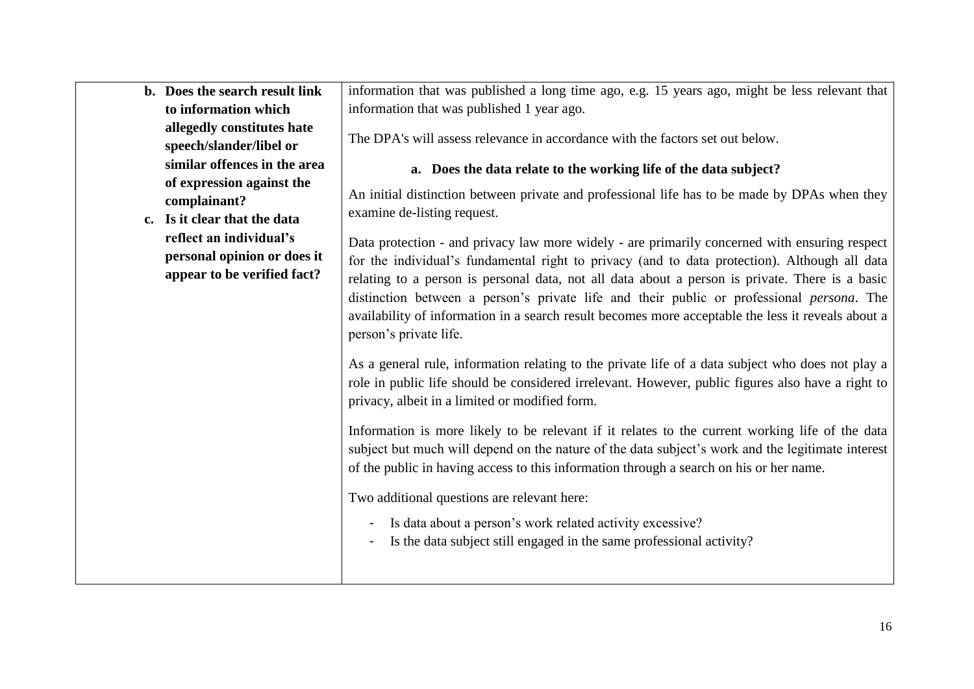- **b. Does the search result link to information which allegedly constitutes hate speech/slander/libel or similar offences in the area of expression against the complainant?** information that was published a long time ago, e.g. 15 years ago, might be less relevant that information that was published 1 year ago. The DPA's will assess relevance in accordance with the factors set out below. **a. Does the data relate to the working life of the data subject?**
	- **c. Is it clear that the data reflect an individual's personal opinion or does it appear to be verified fact?**

An initial distinction between private and professional life has to be made by DPAs when they examine de-listing request.

Data protection - and privacy law more widely - are primarily concerned with ensuring respect for the individual's fundamental right to privacy (and to data protection). Although all data relating to a person is personal data, not all data about a person is private. There is a basic distinction between a person's private life and their public or professional *persona*. The availability of information in a search result becomes more acceptable the less it reveals about a person's private life.

As a general rule, information relating to the private life of a data subject who does not play a role in public life should be considered irrelevant. However, public figures also have a right to privacy, albeit in a limited or modified form.

Information is more likely to be relevant if it relates to the current working life of the data subject but much will depend on the nature of the data subject's work and the legitimate interest of the public in having access to this information through a search on his or her name.

Two additional questions are relevant here:

- Is data about a person's work related activity excessive?
- Is the data subject still engaged in the same professional activity?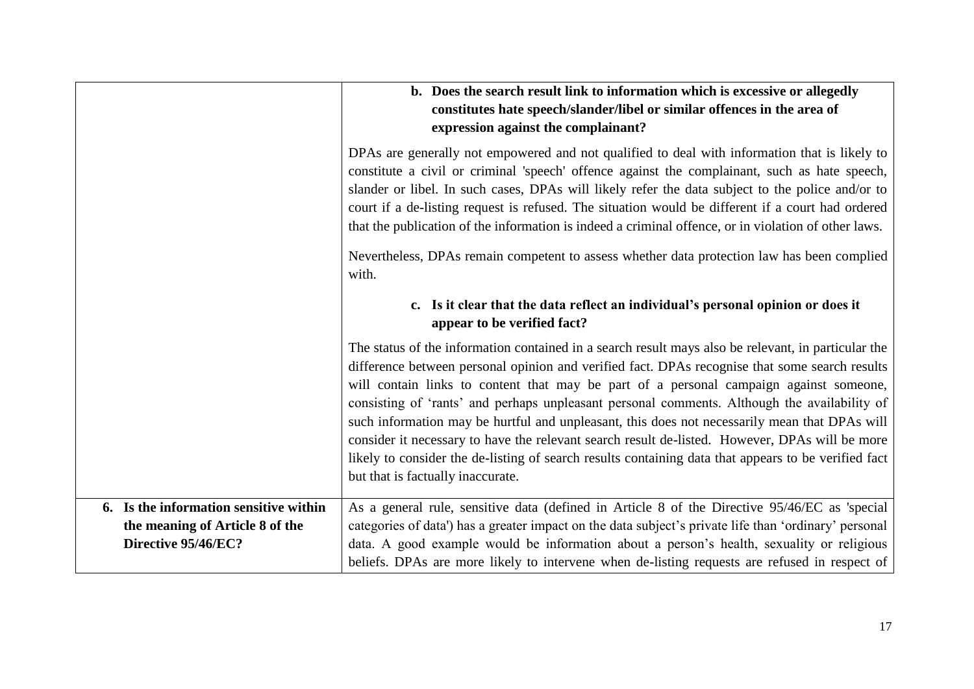|                                                                                                  | b. Does the search result link to information which is excessive or allegedly<br>constitutes hate speech/slander/libel or similar offences in the area of<br>expression against the complainant?                                                                                                                                                                                                                                                                                                                                                                                                                                                                                                                                                |
|--------------------------------------------------------------------------------------------------|-------------------------------------------------------------------------------------------------------------------------------------------------------------------------------------------------------------------------------------------------------------------------------------------------------------------------------------------------------------------------------------------------------------------------------------------------------------------------------------------------------------------------------------------------------------------------------------------------------------------------------------------------------------------------------------------------------------------------------------------------|
|                                                                                                  | DPAs are generally not empowered and not qualified to deal with information that is likely to<br>constitute a civil or criminal 'speech' offence against the complainant, such as hate speech,<br>slander or libel. In such cases, DPAs will likely refer the data subject to the police and/or to<br>court if a de-listing request is refused. The situation would be different if a court had ordered<br>that the publication of the information is indeed a criminal offence, or in violation of other laws.                                                                                                                                                                                                                                 |
|                                                                                                  | Nevertheless, DPAs remain competent to assess whether data protection law has been complied<br>with.                                                                                                                                                                                                                                                                                                                                                                                                                                                                                                                                                                                                                                            |
|                                                                                                  | c. Is it clear that the data reflect an individual's personal opinion or does it<br>appear to be verified fact?                                                                                                                                                                                                                                                                                                                                                                                                                                                                                                                                                                                                                                 |
|                                                                                                  | The status of the information contained in a search result mays also be relevant, in particular the<br>difference between personal opinion and verified fact. DPAs recognise that some search results<br>will contain links to content that may be part of a personal campaign against someone,<br>consisting of 'rants' and perhaps unpleasant personal comments. Although the availability of<br>such information may be hurtful and unpleasant, this does not necessarily mean that DPAs will<br>consider it necessary to have the relevant search result de-listed. However, DPAs will be more<br>likely to consider the de-listing of search results containing data that appears to be verified fact<br>but that is factually inaccurate. |
| 6. Is the information sensitive within<br>the meaning of Article 8 of the<br>Directive 95/46/EC? | As a general rule, sensitive data (defined in Article 8 of the Directive 95/46/EC as 'special<br>categories of data') has a greater impact on the data subject's private life than 'ordinary' personal<br>data. A good example would be information about a person's health, sexuality or religious<br>beliefs. DPAs are more likely to intervene when de-listing requests are refused in respect of                                                                                                                                                                                                                                                                                                                                            |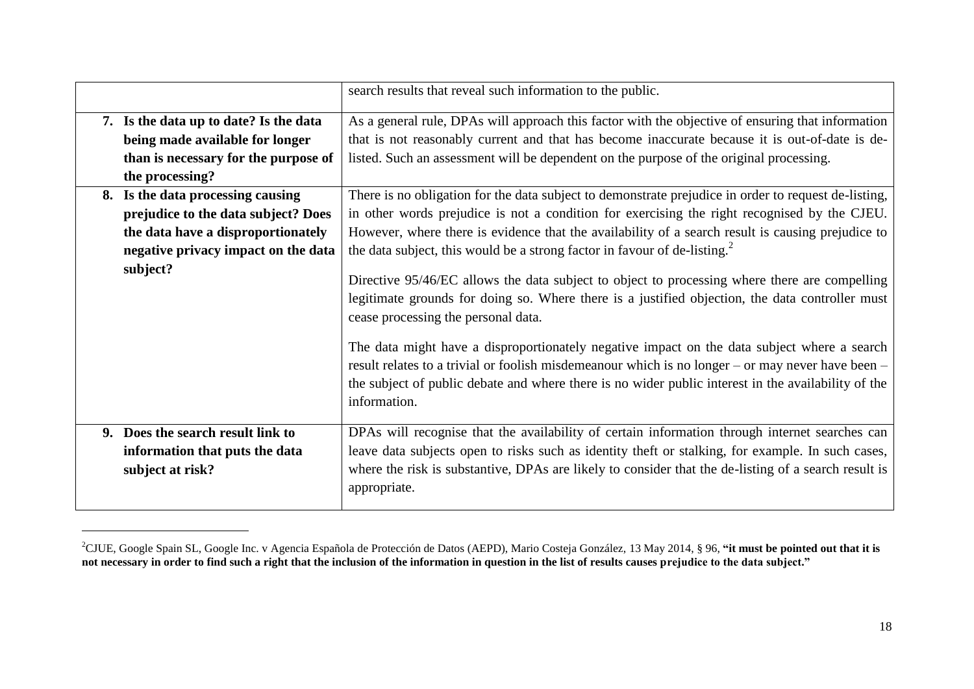|                                        | search results that reveal such information to the public.                                                                                                                                                                                                                                                                                                                                                                                                                                                                                                         |
|----------------------------------------|--------------------------------------------------------------------------------------------------------------------------------------------------------------------------------------------------------------------------------------------------------------------------------------------------------------------------------------------------------------------------------------------------------------------------------------------------------------------------------------------------------------------------------------------------------------------|
| 7. Is the data up to date? Is the data | As a general rule, DPAs will approach this factor with the objective of ensuring that information                                                                                                                                                                                                                                                                                                                                                                                                                                                                  |
| being made available for longer        | that is not reasonably current and that has become inaccurate because it is out-of-date is de-                                                                                                                                                                                                                                                                                                                                                                                                                                                                     |
| than is necessary for the purpose of   | listed. Such an assessment will be dependent on the purpose of the original processing.                                                                                                                                                                                                                                                                                                                                                                                                                                                                            |
| the processing?                        |                                                                                                                                                                                                                                                                                                                                                                                                                                                                                                                                                                    |
| 8. Is the data processing causing      | There is no obligation for the data subject to demonstrate prejudice in order to request de-listing,                                                                                                                                                                                                                                                                                                                                                                                                                                                               |
| prejudice to the data subject? Does    | in other words prejudice is not a condition for exercising the right recognised by the CJEU.                                                                                                                                                                                                                                                                                                                                                                                                                                                                       |
| the data have a disproportionately     | However, where there is evidence that the availability of a search result is causing prejudice to                                                                                                                                                                                                                                                                                                                                                                                                                                                                  |
| negative privacy impact on the data    | the data subject, this would be a strong factor in favour of de-listing. <sup>2</sup>                                                                                                                                                                                                                                                                                                                                                                                                                                                                              |
| subject?                               | Directive 95/46/EC allows the data subject to object to processing where there are compelling<br>legitimate grounds for doing so. Where there is a justified objection, the data controller must<br>cease processing the personal data.<br>The data might have a disproportionately negative impact on the data subject where a search<br>result relates to a trivial or foolish misdemeanour which is no longer – or may never have been –<br>the subject of public debate and where there is no wider public interest in the availability of the<br>information. |
| 9. Does the search result link to      | DPAs will recognise that the availability of certain information through internet searches can                                                                                                                                                                                                                                                                                                                                                                                                                                                                     |
| information that puts the data         | leave data subjects open to risks such as identity theft or stalking, for example. In such cases,                                                                                                                                                                                                                                                                                                                                                                                                                                                                  |
| subject at risk?                       | where the risk is substantive, DPAs are likely to consider that the de-listing of a search result is                                                                                                                                                                                                                                                                                                                                                                                                                                                               |
|                                        | appropriate.                                                                                                                                                                                                                                                                                                                                                                                                                                                                                                                                                       |

<sup>2</sup>CJUE, Google Spain SL, Google Inc. v Agencia Española de Protección de Datos (AEPD), Mario Costeja González, 13 May 2014, § 96, **"it must be pointed out that it is not necessary in order to find such a right that the inclusion of the information in question in the list of results causes prejudice to the data subject."**

 $\ddot{\phantom{a}}$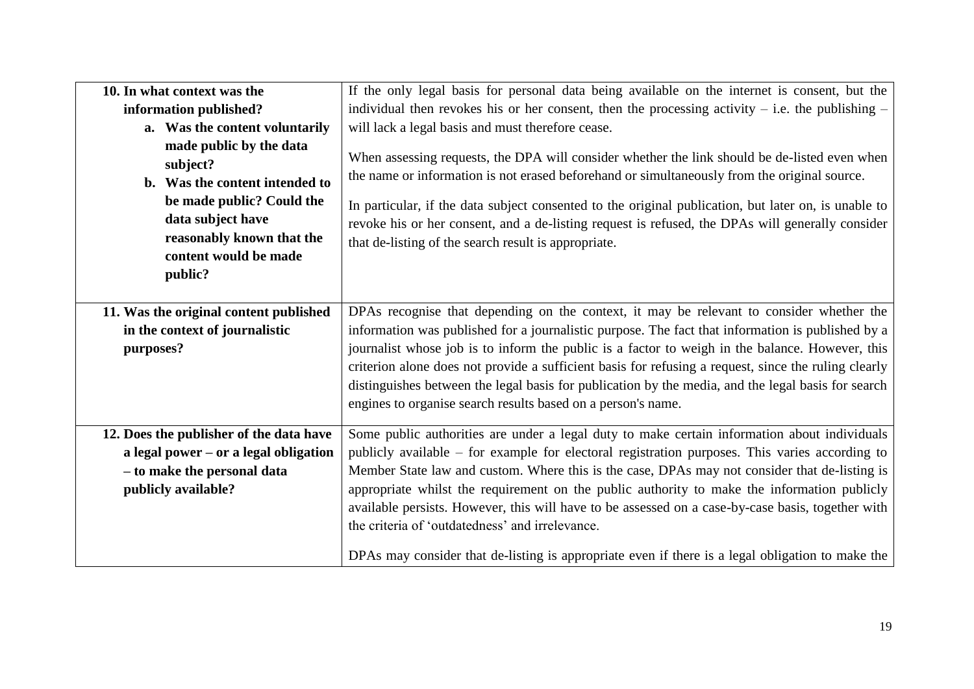| 10. In what context was the                                                                                                                                                              | If the only legal basis for personal data being available on the internet is consent, but the                                                                                                                                                                                                                                                                                                                                                                     |
|------------------------------------------------------------------------------------------------------------------------------------------------------------------------------------------|-------------------------------------------------------------------------------------------------------------------------------------------------------------------------------------------------------------------------------------------------------------------------------------------------------------------------------------------------------------------------------------------------------------------------------------------------------------------|
| information published?                                                                                                                                                                   | individual then revokes his or her consent, then the processing activity $-$ i.e. the publishing $-$                                                                                                                                                                                                                                                                                                                                                              |
| a. Was the content voluntarily                                                                                                                                                           | will lack a legal basis and must therefore cease.                                                                                                                                                                                                                                                                                                                                                                                                                 |
| made public by the data<br>subject?<br>b. Was the content intended to<br>be made public? Could the<br>data subject have<br>reasonably known that the<br>content would be made<br>public? | When assessing requests, the DPA will consider whether the link should be de-listed even when<br>the name or information is not erased beforehand or simultaneously from the original source.<br>In particular, if the data subject consented to the original publication, but later on, is unable to<br>revoke his or her consent, and a de-listing request is refused, the DPAs will generally consider<br>that de-listing of the search result is appropriate. |
| 11. Was the original content published                                                                                                                                                   | DPAs recognise that depending on the context, it may be relevant to consider whether the                                                                                                                                                                                                                                                                                                                                                                          |
| in the context of journalistic                                                                                                                                                           | information was published for a journalistic purpose. The fact that information is published by a                                                                                                                                                                                                                                                                                                                                                                 |
| purposes?                                                                                                                                                                                | journalist whose job is to inform the public is a factor to weigh in the balance. However, this                                                                                                                                                                                                                                                                                                                                                                   |
|                                                                                                                                                                                          | criterion alone does not provide a sufficient basis for refusing a request, since the ruling clearly                                                                                                                                                                                                                                                                                                                                                              |
|                                                                                                                                                                                          | distinguishes between the legal basis for publication by the media, and the legal basis for search                                                                                                                                                                                                                                                                                                                                                                |
|                                                                                                                                                                                          | engines to organise search results based on a person's name.                                                                                                                                                                                                                                                                                                                                                                                                      |
| 12. Does the publisher of the data have                                                                                                                                                  | Some public authorities are under a legal duty to make certain information about individuals                                                                                                                                                                                                                                                                                                                                                                      |
| a legal power $-$ or a legal obligation                                                                                                                                                  | publicly available – for example for electoral registration purposes. This varies according to                                                                                                                                                                                                                                                                                                                                                                    |
| - to make the personal data                                                                                                                                                              | Member State law and custom. Where this is the case, DPAs may not consider that de-listing is                                                                                                                                                                                                                                                                                                                                                                     |
| publicly available?                                                                                                                                                                      | appropriate whilst the requirement on the public authority to make the information publicly                                                                                                                                                                                                                                                                                                                                                                       |
|                                                                                                                                                                                          | available persists. However, this will have to be assessed on a case-by-case basis, together with                                                                                                                                                                                                                                                                                                                                                                 |
|                                                                                                                                                                                          | the criteria of 'outdatedness' and irrelevance.                                                                                                                                                                                                                                                                                                                                                                                                                   |
|                                                                                                                                                                                          | DPAs may consider that de-listing is appropriate even if there is a legal obligation to make the                                                                                                                                                                                                                                                                                                                                                                  |